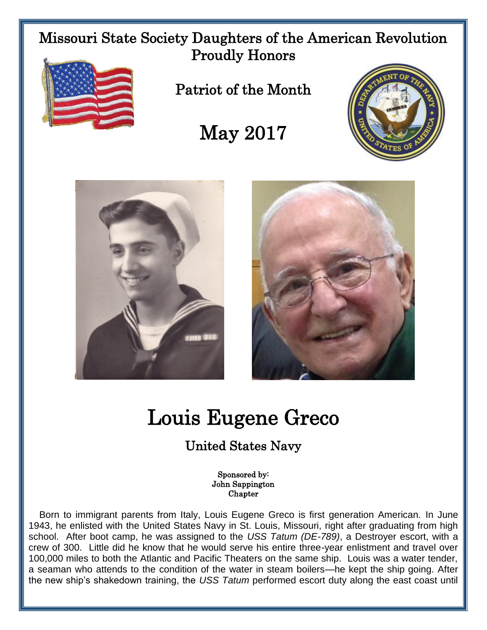Missouri State Society Daughters of the American Revolution Proudly Honors



Patriot of the Month

## May 2017







## Louis Eugene Greco

## United States Navy

Sponsored by: John Sappington Chapter

 Born to immigrant parents from Italy, Louis Eugene Greco is first generation American. In June 1943, he enlisted with the United States Navy in St. Louis, Missouri, right after graduating from high school. After boot camp, he was assigned to the *USS Tatum (DE-789)*, a Destroyer escort, with a crew of 300. Little did he know that he would serve his entire three-year enlistment and travel over 100,000 miles to both the Atlantic and Pacific Theaters on the same ship. Louis was a water tender, a seaman who attends to the condition of the water in steam boilers—he kept the ship going. After the new ship's shakedown training, the *USS Tatum* performed escort duty along the east coast until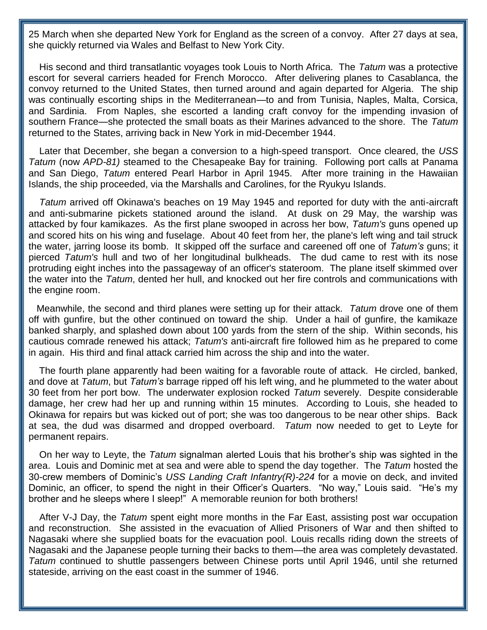25 March when she departed New York for England as the screen of a convoy. After 27 days at sea, she quickly returned via Wales and Belfast to New York City.

 His second and third transatlantic voyages took Louis to North Africa. The *Tatum* was a protective escort for several carriers headed for French Morocco. After delivering planes to [Casablanca,](https://en.wikipedia.org/wiki/Casablanca) the convoy returned to the [United States,](https://en.wikipedia.org/wiki/United_States) then turned around and again departed for [Algeria.](https://en.wikipedia.org/wiki/Algeria) The ship was continually escorting ships in the Mediterranean—to and from Tunisia, Naples, Malta, Corsica, and Sardinia. From [Naples,](https://en.wikipedia.org/wiki/Naples) she escorted a [landing craft](https://en.wikipedia.org/wiki/Landing_craft) [convoy](https://en.wikipedia.org/wiki/Convoy) for the impending [invasion of](https://en.wikipedia.org/wiki/Operation_Dragoon)  [southern France—](https://en.wikipedia.org/wiki/Operation_Dragoon)she protected the small boats as their Marines advanced to the shore. The *Tatum* returned to the States, arriving back in New York in mid-December 1944.

 Later that December, she began a conversion to a [high-speed transport.](https://en.wikipedia.org/wiki/High-speed_transport) Once cleared, the *USS Tatum* (now *APD-81)* steamed to the [Chesapeake Bay](https://en.wikipedia.org/wiki/Chesapeake_Bay) for training. Following port calls at [Panama](https://en.wikipedia.org/wiki/Panama) and [San Diego,](https://en.wikipedia.org/wiki/San_Diego) *Tatum* entered [Pearl Harbor](https://en.wikipedia.org/wiki/Pearl_Harbor) in April 1945. After more training in the [Hawaiian](https://en.wikipedia.org/wiki/Hawaiian_Islands)  [Islands,](https://en.wikipedia.org/wiki/Hawaiian_Islands) the ship proceeded, via the [Marshalls](https://en.wikipedia.org/wiki/Marshall_Islands) and [Carolines,](https://en.wikipedia.org/wiki/Caroline_Islands) for the Ryukyu Islands.

 *Tatum* arrived off Okinawa's beaches on 19 May 1945 and reported for duty with the anti-aircraft and anti-submarine pickets stationed around the island. At dusk on 29 May, the warship was attacked by four kamikazes. As the first plane swooped in across her bow, *Tatum's* guns opened up and scored hits on his wing and fuselage. About 40 feet from her, the plane's left wing and tail struck the water, jarring loose its bomb. It skipped off the surface and careened off one of *Tatum's* guns; it pierced *Tatum's* hull and two of her longitudinal [bulkheads.](https://en.wikipedia.org/wiki/Bulkhead_%28partition%29) The dud came to rest with its nose protruding eight inches into the passageway of an officer's stateroom. The plane itself skimmed over the water into the *Tatum*, dented her hull, and knocked out her fire controls and communications with the engine room.

 Meanwhile, the second and third planes were setting up for their attack. *Tatum* drove one of them off with gunfire, but the other continued on toward the ship. Under a hail of gunfire, the kamikaze banked sharply, and splashed down about 100 yards from the stern of the ship. Within seconds, his cautious comrade renewed his attack; *Tatum's* anti-aircraft fire followed him as he prepared to come in again. His third and final attack carried him across the ship and into the water.

 The fourth plane apparently had been waiting for a favorable route of attack. He circled, banked, and dove at *Tatum*, but *Tatum's* barrage ripped off his left wing, and he plummeted to the water about 30 feet from her port bow. The underwater explosion rocked *Tatum* severely. Despite considerable damage, her crew had her up and running within 15 minutes. According to Louis, she headed to Okinawa for repairs but was kicked out of port; she was too dangerous to be near other ships. Back at sea, the dud was disarmed and dropped overboard. *Tatum* now needed to get to Leyte for permanent repairs.

 On her way to Leyte, the *Tatum* signalman alerted Louis that his brother's ship was sighted in the area. Louis and Dominic met at sea and were able to spend the day together. The *Tatum* hosted the 30-crew members of Dominic's *USS Landing Craft Infantry(R)-224* for a movie on deck, and invited Dominic, an officer, to spend the night in their Officer's Quarters. "No way," Louis said. "He's my brother and he sleeps where I sleep!" A memorable reunion for both brothers!

 After V-J Day, the *Tatum* spent eight more months in the Far East, assisting post war occupation and reconstruction. She assisted in the evacuation of Allied [Prisoners of War](https://en.wikipedia.org/wiki/Prisoners_of_war) and then shifted to [Nagasaki](https://en.wikipedia.org/wiki/Nagasaki,_Nagasaki) where she supplied boats for the evacuation pool. Louis recalls riding down the streets of Nagasaki and the Japanese people turning their backs to them—the area was completely devastated. *Tatum* continued to shuttle passengers between Chinese ports until April 1946, until she returned stateside, arriving on the east coast in the summer of 1946.